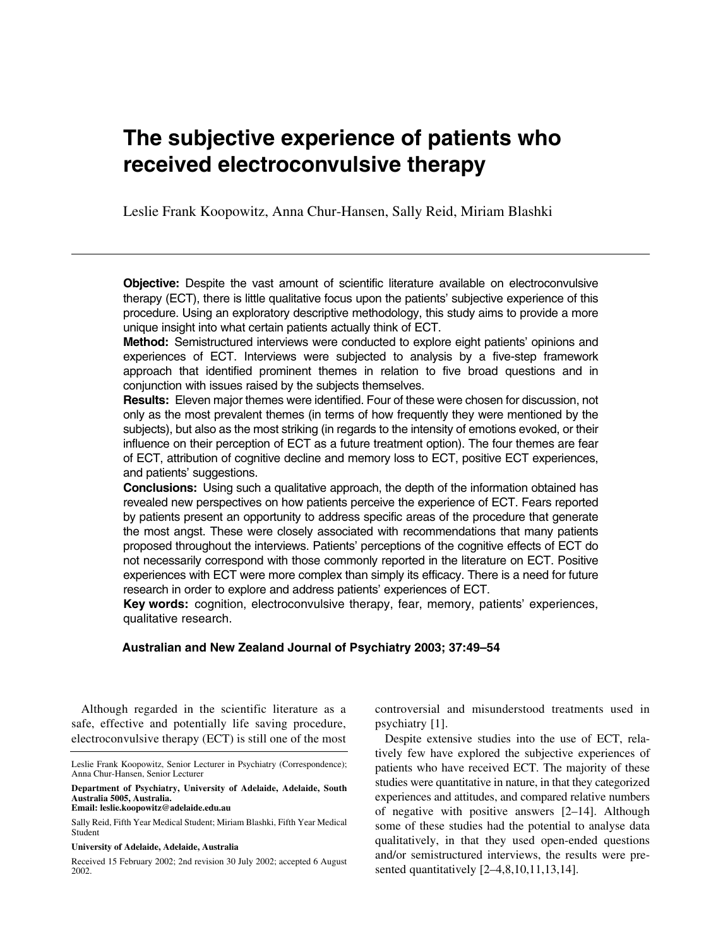# **The subjective experience of patients who received electroconvulsive therapy**

Leslie Frank Koopowitz, Anna Chur-Hansen, Sally Reid, Miriam Blashki

**Objective:** Despite the vast amount of scientific literature available on electroconvulsive therapy (ECT), there is little qualitative focus upon the patients' subjective experience of this procedure. Using an exploratory descriptive methodology, this study aims to provide a more unique insight into what certain patients actually think of ECT.

**Method:** Semistructured interviews were conducted to explore eight patients' opinions and experiences of ECT. Interviews were subjected to analysis by a five-step framework approach that identified prominent themes in relation to five broad questions and in conjunction with issues raised by the subjects themselves.

**Results:** Eleven major themes were identified. Four of these were chosen for discussion, not only as the most prevalent themes (in terms of how frequently they were mentioned by the subjects), but also as the most striking (in regards to the intensity of emotions evoked, or their influence on their perception of ECT as a future treatment option). The four themes are fear of ECT, attribution of cognitive decline and memory loss to ECT, positive ECT experiences, and patients' suggestions.

**Conclusions:** Using such a qualitative approach, the depth of the information obtained has revealed new perspectives on how patients perceive the experience of ECT. Fears reported by patients present an opportunity to address specific areas of the procedure that generate the most angst. These were closely associated with recommendations that many patients proposed throughout the interviews. Patients' perceptions of the cognitive effects of ECT do not necessarily correspond with those commonly reported in the literature on ECT. Positive experiences with ECT were more complex than simply its efficacy. There is a need for future research in order to explore and address patients' experiences of ECT.

**Key words:** cognition, electroconvulsive therapy, fear, memory, patients' experiences, qualitative research.

# **Australian and New Zealand Journal of Psychiatry 2003; 37:49–54**

Although regarded in the scientific literature as a safe, effective and potentially life saving procedure, electroconvulsive therapy (ECT) is still one of the most

**Email: leslie.koopowitz@adelaide.edu.au**

#### **University of Adelaide, Adelaide, Australia**

controversial and misunderstood treatments used in psychiatry [1].

Despite extensive studies into the use of ECT, relatively few have explored the subjective experiences of patients who have received ECT. The majority of these studies were quantitative in nature, in that they categorized experiences and attitudes, and compared relative numbers of negative with positive answers [2–14]. Although some of these studies had the potential to analyse data qualitatively, in that they used open-ended questions and/or semistructured interviews, the results were presented quantitatively [2–4,8,10,11,13,14].

Leslie Frank Koopowitz, Senior Lecturer in Psychiatry (Correspondence); Anna Chur-Hansen, Senior Lecturer

**Department of Psychiatry, University of Adelaide, Adelaide, South Australia 5005, Australia.** 

Sally Reid, Fifth Year Medical Student; Miriam Blashki, Fifth Year Medical Student

Received 15 February 2002; 2nd revision 30 July 2002; accepted 6 August 2002.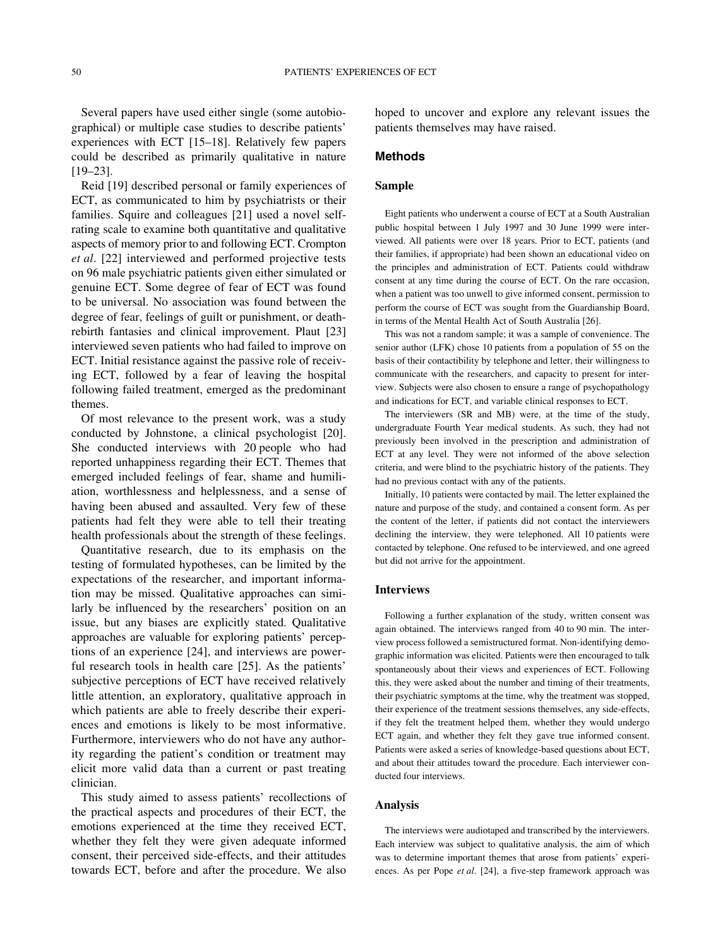Several papers have used either single (some autobiographical) or multiple case studies to describe patients' experiences with ECT [15–18]. Relatively few papers could be described as primarily qualitative in nature [19–23].

Reid [19] described personal or family experiences of ECT, as communicated to him by psychiatrists or their families. Squire and colleagues [21] used a novel selfrating scale to examine both quantitative and qualitative aspects of memory prior to and following ECT. Crompton *et al*. [22] interviewed and performed projective tests on 96 male psychiatric patients given either simulated or genuine ECT. Some degree of fear of ECT was found to be universal. No association was found between the degree of fear, feelings of guilt or punishment, or deathrebirth fantasies and clinical improvement. Plaut [23] interviewed seven patients who had failed to improve on ECT. Initial resistance against the passive role of receiving ECT, followed by a fear of leaving the hospital following failed treatment, emerged as the predominant themes.

Of most relevance to the present work, was a study conducted by Johnstone, a clinical psychologist [20]. She conducted interviews with 20 people who had reported unhappiness regarding their ECT. Themes that emerged included feelings of fear, shame and humiliation, worthlessness and helplessness, and a sense of having been abused and assaulted. Very few of these patients had felt they were able to tell their treating health professionals about the strength of these feelings.

Quantitative research, due to its emphasis on the testing of formulated hypotheses, can be limited by the expectations of the researcher, and important information may be missed. Qualitative approaches can similarly be influenced by the researchers' position on an issue, but any biases are explicitly stated. Qualitative approaches are valuable for exploring patients' perceptions of an experience [24], and interviews are powerful research tools in health care [25]. As the patients' subjective perceptions of ECT have received relatively little attention, an exploratory, qualitative approach in which patients are able to freely describe their experiences and emotions is likely to be most informative. Furthermore, interviewers who do not have any authority regarding the patient's condition or treatment may elicit more valid data than a current or past treating clinician.

This study aimed to assess patients' recollections of the practical aspects and procedures of their ECT, the emotions experienced at the time they received ECT, whether they felt they were given adequate informed consent, their perceived side-effects, and their attitudes towards ECT, before and after the procedure. We also

hoped to uncover and explore any relevant issues the patients themselves may have raised.

#### **Methods**

#### **Sample**

Eight patients who underwent a course of ECT at a South Australian public hospital between 1 July 1997 and 30 June 1999 were interviewed. All patients were over 18 years. Prior to ECT, patients (and their families, if appropriate) had been shown an educational video on the principles and administration of ECT. Patients could withdraw consent at any time during the course of ECT. On the rare occasion, when a patient was too unwell to give informed consent, permission to perform the course of ECT was sought from the Guardianship Board, in terms of the Mental Health Act of South Australia [26].

This was not a random sample; it was a sample of convenience. The senior author (LFK) chose 10 patients from a population of 55 on the basis of their contactibility by telephone and letter, their willingness to communicate with the researchers, and capacity to present for interview. Subjects were also chosen to ensure a range of psychopathology and indications for ECT, and variable clinical responses to ECT.

The interviewers (SR and MB) were, at the time of the study, undergraduate Fourth Year medical students. As such, they had not previously been involved in the prescription and administration of ECT at any level. They were not informed of the above selection criteria, and were blind to the psychiatric history of the patients. They had no previous contact with any of the patients.

Initially, 10 patients were contacted by mail. The letter explained the nature and purpose of the study, and contained a consent form. As per the content of the letter, if patients did not contact the interviewers declining the interview, they were telephoned. All 10 patients were contacted by telephone. One refused to be interviewed, and one agreed but did not arrive for the appointment.

#### **Interviews**

Following a further explanation of the study, written consent was again obtained. The interviews ranged from 40 to 90 min. The interview process followed a semistructured format. Non-identifying demographic information was elicited. Patients were then encouraged to talk spontaneously about their views and experiences of ECT. Following this, they were asked about the number and timing of their treatments, their psychiatric symptoms at the time, why the treatment was stopped, their experience of the treatment sessions themselves, any side-effects, if they felt the treatment helped them, whether they would undergo ECT again, and whether they felt they gave true informed consent. Patients were asked a series of knowledge-based questions about ECT, and about their attitudes toward the procedure. Each interviewer conducted four interviews.

#### **Analysis**

The interviews were audiotaped and transcribed by the interviewers. Each interview was subject to qualitative analysis, the aim of which was to determine important themes that arose from patients' experiences. As per Pope *et al*. [24], a five-step framework approach was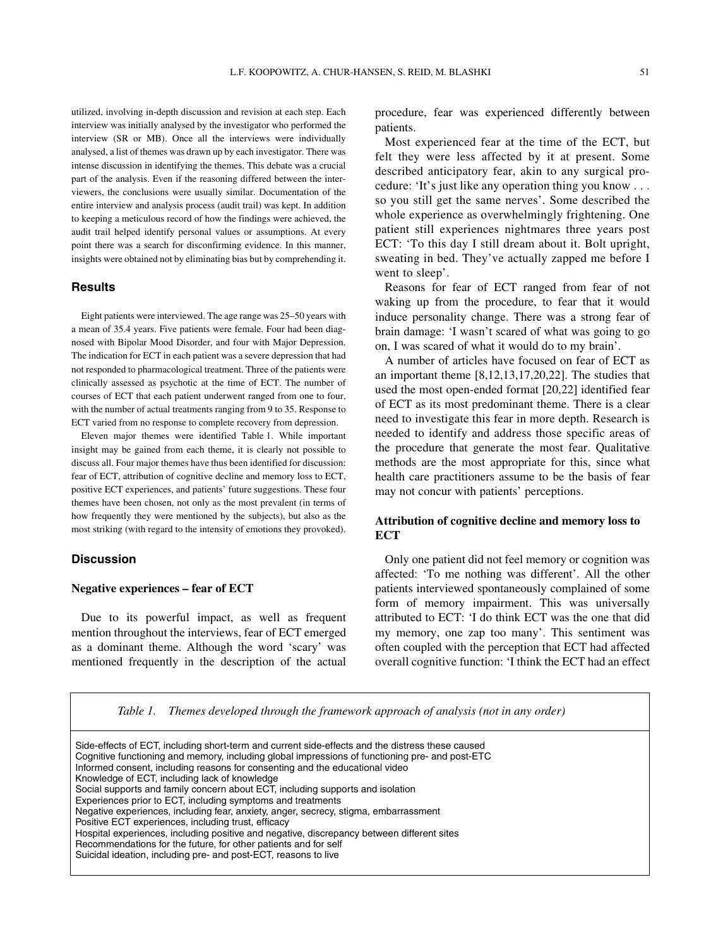utilized, involving in-depth discussion and revision at each step. Each interview was initially analysed by the investigator who performed the interview (SR or MB). Once all the interviews were individually analysed, a list of themes was drawn up by each investigator. There was intense discussion in identifying the themes. This debate was a crucial part of the analysis. Even if the reasoning differed between the interviewers, the conclusions were usually similar. Documentation of the entire interview and analysis process (audit trail) was kept. In addition to keeping a meticulous record of how the findings were achieved, the audit trail helped identify personal values or assumptions. At every point there was a search for disconfirming evidence. In this manner, insights were obtained not by eliminating bias but by comprehending it.

#### **Results**

Eight patients were interviewed. The age range was 25–50 years with a mean of 35.4 years. Five patients were female. Four had been diagnosed with Bipolar Mood Disorder, and four with Major Depression. The indication for ECT in each patient was a severe depression that had not responded to pharmacological treatment. Three of the patients were clinically assessed as psychotic at the time of ECT. The number of courses of ECT that each patient underwent ranged from one to four, with the number of actual treatments ranging from 9 to 35. Response to ECT varied from no response to complete recovery from depression.

Eleven major themes were identified Table 1. While important insight may be gained from each theme, it is clearly not possible to discuss all. Four major themes have thus been identified for discussion: fear of ECT, attribution of cognitive decline and memory loss to ECT, positive ECT experiences, and patients' future suggestions. These four themes have been chosen, not only as the most prevalent (in terms of how frequently they were mentioned by the subjects), but also as the most striking (with regard to the intensity of emotions they provoked).

## **Discussion**

#### **Negative experiences – fear of ECT**

Due to its powerful impact, as well as frequent mention throughout the interviews, fear of ECT emerged as a dominant theme. Although the word 'scary' was mentioned frequently in the description of the actual

procedure, fear was experienced differently between patients.

Most experienced fear at the time of the ECT, but felt they were less affected by it at present. Some described anticipatory fear, akin to any surgical procedure: 'It's just like any operation thing you know . . . so you still get the same nerves'. Some described the whole experience as overwhelmingly frightening. One patient still experiences nightmares three years post ECT: 'To this day I still dream about it. Bolt upright, sweating in bed. They've actually zapped me before I went to sleep'.

Reasons for fear of ECT ranged from fear of not waking up from the procedure, to fear that it would induce personality change. There was a strong fear of brain damage: 'I wasn't scared of what was going to go on, I was scared of what it would do to my brain'.

A number of articles have focused on fear of ECT as an important theme [8,12,13,17,20,22]. The studies that used the most open-ended format [20,22] identified fear of ECT as its most predominant theme. There is a clear need to investigate this fear in more depth. Research is needed to identify and address those specific areas of the procedure that generate the most fear. Qualitative methods are the most appropriate for this, since what health care practitioners assume to be the basis of fear may not concur with patients' perceptions.

## **Attribution of cognitive decline and memory loss to ECT**

Only one patient did not feel memory or cognition was affected: 'To me nothing was different'. All the other patients interviewed spontaneously complained of some form of memory impairment. This was universally attributed to ECT: 'I do think ECT was the one that did my memory, one zap too many'. This sentiment was often coupled with the perception that ECT had affected overall cognitive function: 'I think the ECT had an effect

*Table 1. Themes developed through the framework approach of analysis (not in any order)*

Side-effects of ECT, including short-term and current side-effects and the distress these caused Cognitive functioning and memory, including global impressions of functioning pre- and post-ETC Informed consent, including reasons for consenting and the educational video Knowledge of ECT, including lack of knowledge Social supports and family concern about ECT, including supports and isolation Experiences prior to ECT, including symptoms and treatments Negative experiences, including fear, anxiety, anger, secrecy, stigma, embarrassment Positive ECT experiences, including trust, efficacy Hospital experiences, including positive and negative, discrepancy between different sites Recommendations for the future, for other patients and for self Suicidal ideation, including pre- and post-ECT, reasons to live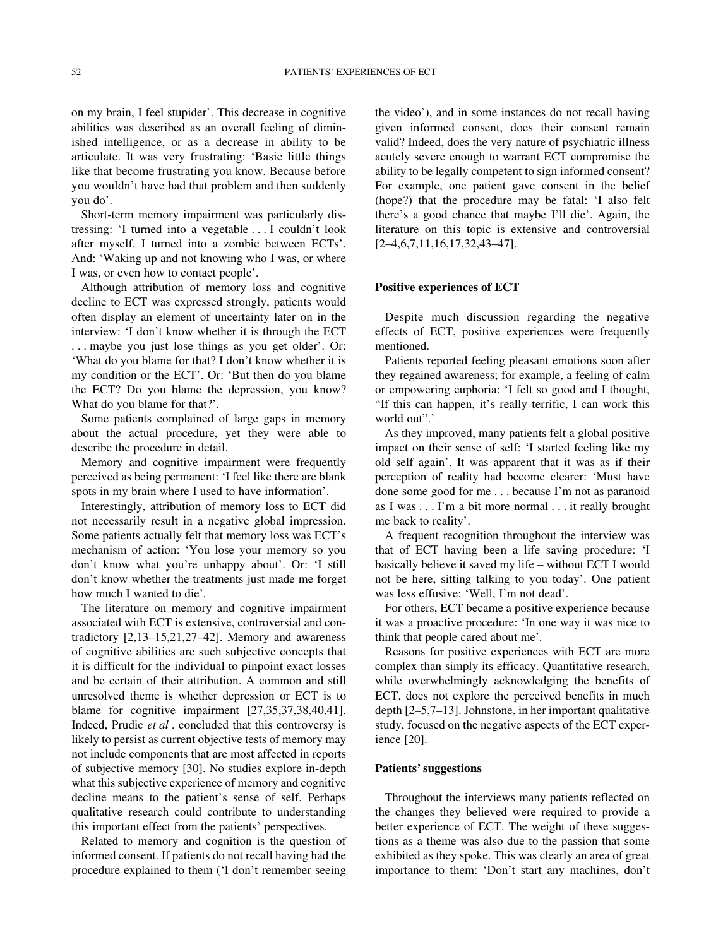on my brain, I feel stupider'. This decrease in cognitive abilities was described as an overall feeling of diminished intelligence, or as a decrease in ability to be articulate. It was very frustrating: 'Basic little things like that become frustrating you know. Because before you wouldn't have had that problem and then suddenly you do'.

Short-term memory impairment was particularly distressing: 'I turned into a vegetable . . . I couldn't look after myself. I turned into a zombie between ECTs'. And: 'Waking up and not knowing who I was, or where I was, or even how to contact people'.

Although attribution of memory loss and cognitive decline to ECT was expressed strongly, patients would often display an element of uncertainty later on in the interview: 'I don't know whether it is through the ECT . . . maybe you just lose things as you get older'. Or: 'What do you blame for that? I don't know whether it is my condition or the ECT'. Or: 'But then do you blame the ECT? Do you blame the depression, you know? What do you blame for that?'.

Some patients complained of large gaps in memory about the actual procedure, yet they were able to describe the procedure in detail.

Memory and cognitive impairment were frequently perceived as being permanent: 'I feel like there are blank spots in my brain where I used to have information'.

Interestingly, attribution of memory loss to ECT did not necessarily result in a negative global impression. Some patients actually felt that memory loss was ECT's mechanism of action: 'You lose your memory so you don't know what you're unhappy about'. Or: 'I still don't know whether the treatments just made me forget how much I wanted to die'*.*

The literature on memory and cognitive impairment associated with ECT is extensive, controversial and contradictory [2,13–15,21,27–42]. Memory and awareness of cognitive abilities are such subjective concepts that it is difficult for the individual to pinpoint exact losses and be certain of their attribution. A common and still unresolved theme is whether depression or ECT is to blame for cognitive impairment [27,35,37,38,40,41]. Indeed, Prudic *et al* . concluded that this controversy is likely to persist as current objective tests of memory may not include components that are most affected in reports of subjective memory [30]. No studies explore in-depth what this subjective experience of memory and cognitive decline means to the patient's sense of self. Perhaps qualitative research could contribute to understanding this important effect from the patients' perspectives.

Related to memory and cognition is the question of informed consent. If patients do not recall having had the procedure explained to them ('I don't remember seeing

the video'), and in some instances do not recall having given informed consent, does their consent remain valid? Indeed, does the very nature of psychiatric illness acutely severe enough to warrant ECT compromise the ability to be legally competent to sign informed consent? For example, one patient gave consent in the belief (hope?) that the procedure may be fatal: 'I also felt there's a good chance that maybe I'll die'. Again, the literature on this topic is extensive and controversial [2–4,6,7,11,16,17,32,43–47].

#### **Positive experiences of ECT**

Despite much discussion regarding the negative effects of ECT, positive experiences were frequently mentioned.

Patients reported feeling pleasant emotions soon after they regained awareness; for example, a feeling of calm or empowering euphoria: 'I felt so good and I thought, "If this can happen, it's really terrific, I can work this world out".'

As they improved, many patients felt a global positive impact on their sense of self: 'I started feeling like my old self again'. It was apparent that it was as if their perception of reality had become clearer: 'Must have done some good for me . . . because I'm not as paranoid as I was . . . I'm a bit more normal . . . it really brought me back to reality'.

A frequent recognition throughout the interview was that of ECT having been a life saving procedure: 'I basically believe it saved my life – without ECT I would not be here, sitting talking to you today'. One patient was less effusive: 'Well, I'm not dead'.

For others, ECT became a positive experience because it was a proactive procedure: 'In one way it was nice to think that people cared about me'*.*

Reasons for positive experiences with ECT are more complex than simply its efficacy. Quantitative research, while overwhelmingly acknowledging the benefits of ECT, does not explore the perceived benefits in much depth [2–5,7–13]. Johnstone, in her important qualitative study, focused on the negative aspects of the ECT experience [20].

#### **Patients' suggestions**

Throughout the interviews many patients reflected on the changes they believed were required to provide a better experience of ECT. The weight of these suggestions as a theme was also due to the passion that some exhibited as they spoke. This was clearly an area of great importance to them: 'Don't start any machines, don't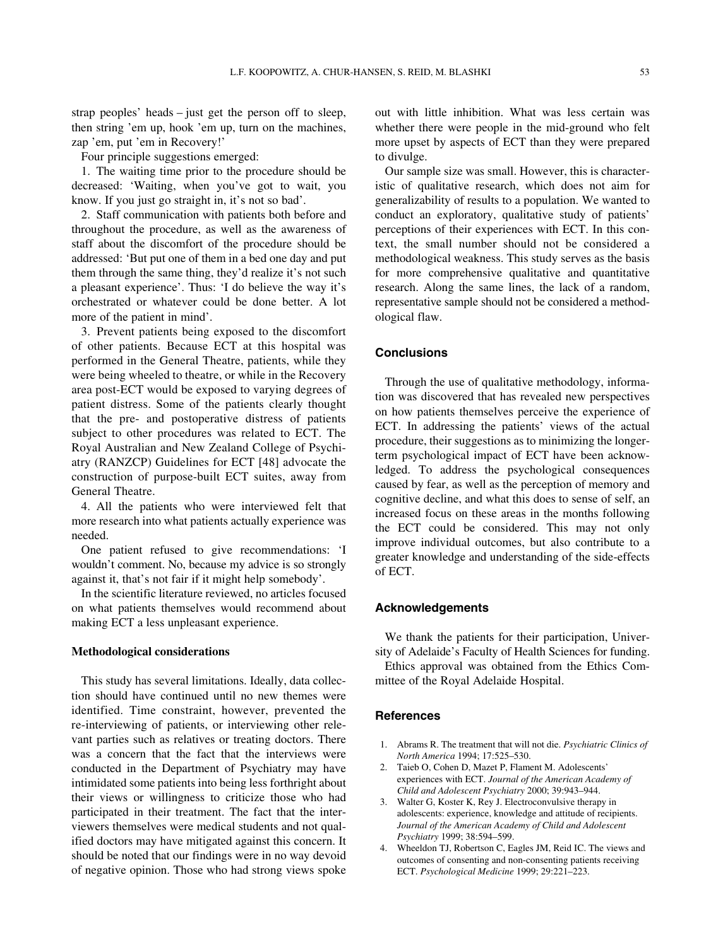strap peoples' heads – just get the person off to sleep, then string 'em up, hook 'em up, turn on the machines, zap 'em, put 'em in Recovery!'

Four principle suggestions emerged:

1. The waiting time prior to the procedure should be decreased: 'Waiting, when you've got to wait, you know. If you just go straight in, it's not so bad'.

2. Staff communication with patients both before and throughout the procedure, as well as the awareness of staff about the discomfort of the procedure should be addressed: 'But put one of them in a bed one day and put them through the same thing, they'd realize it's not such a pleasant experience'. Thus: 'I do believe the way it's orchestrated or whatever could be done better. A lot more of the patient in mind'.

3. Prevent patients being exposed to the discomfort of other patients. Because ECT at this hospital was performed in the General Theatre, patients, while they were being wheeled to theatre, or while in the Recovery area post-ECT would be exposed to varying degrees of patient distress. Some of the patients clearly thought that the pre- and postoperative distress of patients subject to other procedures was related to ECT. The Royal Australian and New Zealand College of Psychiatry (RANZCP) Guidelines for ECT [48] advocate the construction of purpose-built ECT suites, away from General Theatre.

4. All the patients who were interviewed felt that more research into what patients actually experience was needed.

One patient refused to give recommendations: 'I wouldn't comment. No, because my advice is so strongly against it, that's not fair if it might help somebody'.

In the scientific literature reviewed, no articles focused on what patients themselves would recommend about making ECT a less unpleasant experience.

## **Methodological considerations**

This study has several limitations. Ideally, data collection should have continued until no new themes were identified. Time constraint, however, prevented the re-interviewing of patients, or interviewing other relevant parties such as relatives or treating doctors. There was a concern that the fact that the interviews were conducted in the Department of Psychiatry may have intimidated some patients into being less forthright about their views or willingness to criticize those who had participated in their treatment. The fact that the interviewers themselves were medical students and not qualified doctors may have mitigated against this concern. It should be noted that our findings were in no way devoid of negative opinion. Those who had strong views spoke

out with little inhibition. What was less certain was whether there were people in the mid-ground who felt more upset by aspects of ECT than they were prepared to divulge.

Our sample size was small. However, this is characteristic of qualitative research, which does not aim for generalizability of results to a population. We wanted to conduct an exploratory, qualitative study of patients' perceptions of their experiences with ECT. In this context, the small number should not be considered a methodological weakness. This study serves as the basis for more comprehensive qualitative and quantitative research. Along the same lines, the lack of a random, representative sample should not be considered a methodological flaw.

## **Conclusions**

Through the use of qualitative methodology, information was discovered that has revealed new perspectives on how patients themselves perceive the experience of ECT. In addressing the patients' views of the actual procedure, their suggestions as to minimizing the longerterm psychological impact of ECT have been acknowledged. To address the psychological consequences caused by fear, as well as the perception of memory and cognitive decline, and what this does to sense of self, an increased focus on these areas in the months following the ECT could be considered. This may not only improve individual outcomes, but also contribute to a greater knowledge and understanding of the side-effects of ECT.

#### **Acknowledgements**

We thank the patients for their participation, University of Adelaide's Faculty of Health Sciences for funding. Ethics approval was obtained from the Ethics Committee of the Royal Adelaide Hospital.

#### **References**

- 1. Abrams R. The treatment that will not die. *Psychiatric Clinics of North America* 1994; 17:525–530.
- 2. Taieb O, Cohen D, Mazet P, Flament M. Adolescents' experiences with ECT. *Journal of the American Academy of Child and Adolescent Psychiatry* 2000; 39:943–944.
- 3. Walter G, Koster K, Rey J. Electroconvulsive therapy in adolescents: experience, knowledge and attitude of recipients. *Journal of the American Academy of Child and Adolescent Psychiatry* 1999; 38:594–599.
- 4. Wheeldon TJ, Robertson C, Eagles JM, Reid IC. The views and outcomes of consenting and non-consenting patients receiving ECT. *Psychological Medicine* 1999; 29:221–223.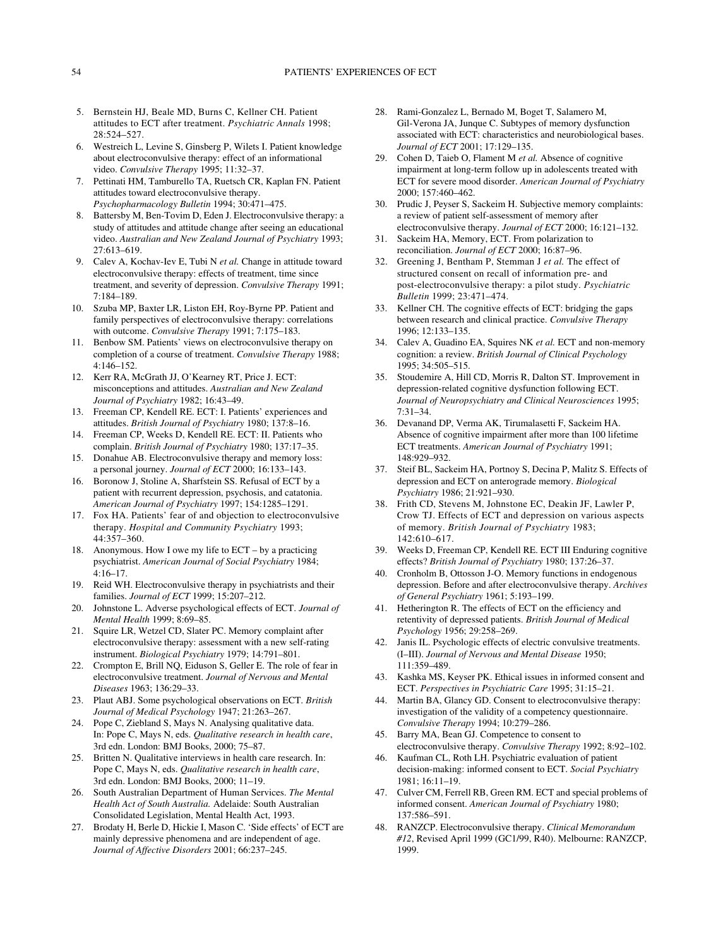- 5. Bernstein HJ, Beale MD, Burns C, Kellner CH. Patient attitudes to ECT after treatment. *Psychiatric Annals* 1998; 28:524–527.
- 6. Westreich L, Levine S, Ginsberg P, Wilets I. Patient knowledge about electroconvulsive therapy: effect of an informational video. *Convulsive Therapy* 1995; 11:32–37.
- 7. Pettinati HM, Tamburello TA, Ruetsch CR, Kaplan FN. Patient attitudes toward electroconvulsive therapy. *Psychopharmacology Bulletin* 1994; 30:471–475.
- 8. Battersby M, Ben-Tovim D, Eden J. Electroconvulsive therapy: a study of attitudes and attitude change after seeing an educational video. *Australian and New Zealand Journal of Psychiatry* 1993; 27:613–619.
- 9. Calev A, Kochav-Iev E, Tubi N *et al.* Change in attitude toward electroconvulsive therapy: effects of treatment, time since treatment, and severity of depression. *Convulsive Therapy* 1991; 7:184–189.
- 10. Szuba MP, Baxter LR, Liston EH, Roy-Byrne PP. Patient and family perspectives of electroconvulsive therapy: correlations with outcome. *Convulsive Therapy* 1991; 7:175–183.
- 11. Benbow SM. Patients' views on electroconvulsive therapy on completion of a course of treatment. *Convulsive Therapy* 1988; 4:146–152.
- 12. Kerr RA, McGrath JJ, O'Kearney RT, Price J. ECT: misconceptions and attitudes. *Australian and New Zealand Journal of Psychiatry* 1982; 16:43–49.
- 13. Freeman CP, Kendell RE. ECT: I. Patients' experiences and attitudes. *British Journal of Psychiatry* 1980; 137:8–16.
- 14. Freeman CP, Weeks D, Kendell RE. ECT: II. Patients who complain. *British Journal of Psychiatry* 1980; 137:17–35.
- 15. Donahue AB. Electroconvulsive therapy and memory loss: a personal journey. *Journal of ECT* 2000; 16:133–143.
- 16. Boronow J, Stoline A, Sharfstein SS. Refusal of ECT by a patient with recurrent depression, psychosis, and catatonia. *American Journal of Psychiatry* 1997; 154:1285–1291.
- 17. Fox HA. Patients' fear of and objection to electroconvulsive therapy. *Hospital and Community Psychiatry* 1993; 44:357–360.
- 18. Anonymous. How I owe my life to ECT by a practicing psychiatrist. *American Journal of Social Psychiatry* 1984; 4:16–17.
- 19. Reid WH. Electroconvulsive therapy in psychiatrists and their families. *Journal of ECT* 1999; 15:207–212.
- 20. Johnstone L. Adverse psychological effects of ECT. *Journal of Mental Health* 1999; 8:69–85.
- 21. Squire LR, Wetzel CD, Slater PC. Memory complaint after electroconvulsive therapy: assessment with a new self-rating instrument. *Biological Psychiatry* 1979; 14:791–801.
- 22. Crompton E, Brill NQ, Eiduson S, Geller E. The role of fear in electroconvulsive treatment. *Journal of Nervous and Mental Diseases* 1963; 136:29–33.
- 23. Plaut ABJ. Some psychological observations on ECT. *British Journal of Medical Psychology* 1947; 21:263–267.
- 24. Pope C, Ziebland S, Mays N. Analysing qualitative data. In: Pope C, Mays N, eds. *Qualitative research in health care*, 3rd edn. London: BMJ Books, 2000; 75–87.
- 25. Britten N. Qualitative interviews in health care research. In: Pope C, Mays N, eds. *Qualitative research in health care*, 3rd edn. London: BMJ Books, 2000; 11–19.
- 26. South Australian Department of Human Services. *The Mental Health Act of South Australia.* Adelaide: South Australian Consolidated Legislation, Mental Health Act, 1993.
- 27. Brodaty H, Berle D, Hickie I, Mason C. 'Side effects' of ECT are mainly depressive phenomena and are independent of age. *Journal of Affective Disorders* 2001; 66:237–245.
- 28. Rami-Gonzalez L, Bernado M, Boget T, Salamero M, Gil-Verona JA, Junque C. Subtypes of memory dysfunction associated with ECT: characteristics and neurobiological bases. *Journal of ECT* 2001; 17:129–135.
- 29. Cohen D, Taieb O, Flament M *et al.* Absence of cognitive impairment at long-term follow up in adolescents treated with ECT for severe mood disorder. *American Journal of Psychiatry* 2000; 157:460–462.
- 30. Prudic J, Peyser S, Sackeim H. Subjective memory complaints: a review of patient self-assessment of memory after electroconvulsive therapy. *Journal of ECT* 2000; 16:121–132.
- 31. Sackeim HA, Memory, ECT. From polarization to reconciliation. *Journal of ECT* 2000; 16:87–96.
- 32. Greening J, Bentham P, Stemman J *et al.* The effect of structured consent on recall of information pre- and post-electroconvulsive therapy: a pilot study. *Psychiatric Bulletin* 1999; 23:471–474.
- 33. Kellner CH. The cognitive effects of ECT: bridging the gaps between research and clinical practice. *Convulsive Therapy* 1996; 12:133–135.
- 34. Calev A, Guadino EA, Squires NK *et al.* ECT and non-memory cognition: a review. *British Journal of Clinical Psychology* 1995; 34:505–515.
- 35. Stoudemire A, Hill CD, Morris R, Dalton ST. Improvement in depression-related cognitive dysfunction following ECT. *Journal of Neuropsychiatry and Clinical Neurosciences* 1995; 7:31–34.
- 36. Devanand DP, Verma AK, Tirumalasetti F, Sackeim HA. Absence of cognitive impairment after more than 100 lifetime ECT treatments. *American Journal of Psychiatry* 1991; 148:929–932.
- 37. Steif BL, Sackeim HA, Portnoy S, Decina P, Malitz S. Effects of depression and ECT on anterograde memory. *Biological Psychiatry* 1986; 21:921–930.
- 38. Frith CD, Stevens M, Johnstone EC, Deakin JF, Lawler P, Crow TJ. Effects of ECT and depression on various aspects of memory. *British Journal of Psychiatry* 1983; 142:610–617.
- 39. Weeks D, Freeman CP, Kendell RE. ECT III Enduring cognitive effects? *British Journal of Psychiatry* 1980; 137:26–37.
- 40. Cronholm B, Ottosson J-O. Memory functions in endogenous depression. Before and after electroconvulsive therapy. *Archives of General Psychiatry* 1961; 5:193–199.
- 41. Hetherington R. The effects of ECT on the efficiency and retentivity of depressed patients. *British Journal of Medical Psychology* 1956; 29:258–269.
- 42. Janis IL. Psychologic effects of electric convulsive treatments. (I–III). *Journal of Nervous and Mental Disease* 1950; 111:359–489.
- 43. Kashka MS, Keyser PK. Ethical issues in informed consent and ECT. *Perspectives in Psychiatric Care* 1995; 31:15–21.
- 44. Martin BA, Glancy GD. Consent to electroconvulsive therapy: investigation of the validity of a competency questionnaire. *Convulsive Therapy* 1994; 10:279–286.
- 45. Barry MA, Bean GJ. Competence to consent to electroconvulsive therapy. *Convulsive Therapy* 1992; 8:92–102.
- 46. Kaufman CL, Roth LH. Psychiatric evaluation of patient decision-making: informed consent to ECT. *Social Psychiatry* 1981; 16:11–19.
- 47. Culver CM, Ferrell RB, Green RM. ECT and special problems of informed consent. *American Journal of Psychiatry* 1980; 137:586–591.
- 48. RANZCP. Electroconvulsive therapy. *Clinical Memorandum #12*, Revised April 1999 (GC1/99, R40). Melbourne: RANZCP, 1999.